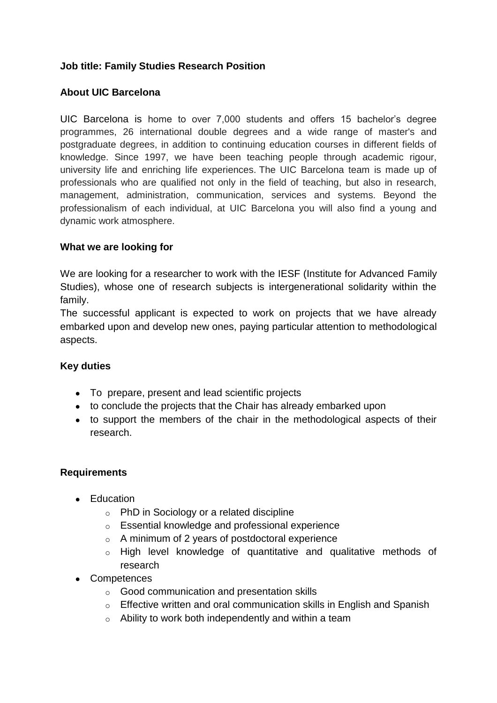# **Job title: Family Studies Research Position**

# **About UIC Barcelona**

UIC Barcelona is home to over 7,000 students and offers 15 bachelor's degree programmes, 26 international double degrees and a wide range of master's and postgraduate degrees, in addition to continuing education courses in different fields of knowledge. Since 1997, we have been teaching people through academic rigour, university life and enriching life experiences. The UIC Barcelona team is made up of professionals who are qualified not only in the field of teaching, but also in research, management, administration, communication, services and systems. Beyond the professionalism of each individual, at UIC Barcelona you will also find a young and dynamic work atmosphere.

### **What we are looking for**

We are looking for a researcher to work with the IESF (Institute for Advanced Family Studies), whose one of research subjects is intergenerational solidarity within the family.

The successful applicant is expected to work on projects that we have already embarked upon and develop new ones, paying particular attention to methodological aspects.

#### **Key duties**

- To prepare, present and lead scientific projects
- to conclude the projects that the Chair has already embarked upon
- to support the members of the chair in the methodological aspects of their research.

## **Requirements**

- Education
	- o PhD in Sociology or a related discipline
	- o Essential knowledge and professional experience
	- o A minimum of 2 years of postdoctoral experience
	- o High level knowledge of quantitative and qualitative methods of research
- Competences
	- o Good communication and presentation skills
	- o Effective written and oral communication skills in English and Spanish
	- $\circ$  Ability to work both independently and within a team